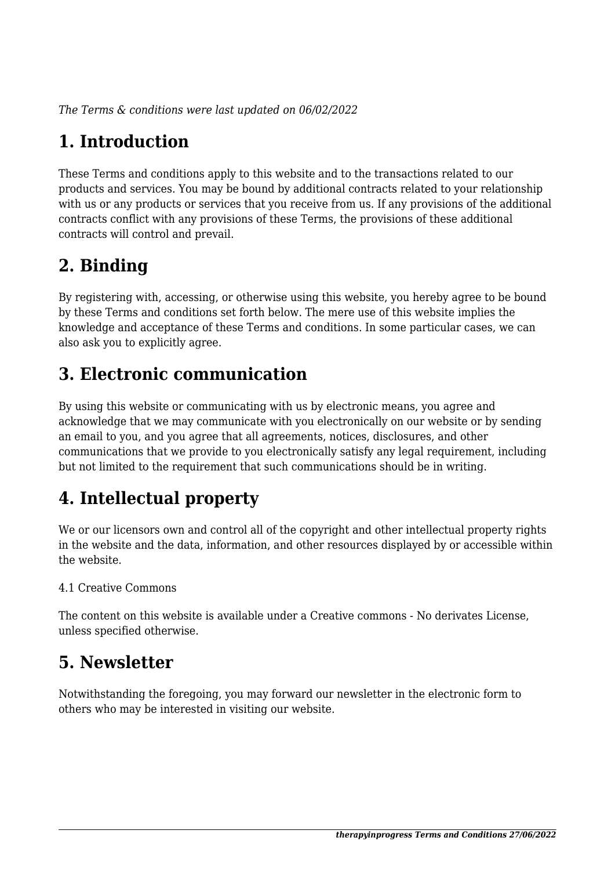*The Terms & conditions were last updated on 06/02/2022*

# **1. Introduction**

These Terms and conditions apply to this website and to the transactions related to our products and services. You may be bound by additional contracts related to your relationship with us or any products or services that you receive from us. If any provisions of the additional contracts conflict with any provisions of these Terms, the provisions of these additional contracts will control and prevail.

## **2. Binding**

By registering with, accessing, or otherwise using this website, you hereby agree to be bound by these Terms and conditions set forth below. The mere use of this website implies the knowledge and acceptance of these Terms and conditions. In some particular cases, we can also ask you to explicitly agree.

## **3. Electronic communication**

By using this website or communicating with us by electronic means, you agree and acknowledge that we may communicate with you electronically on our website or by sending an email to you, and you agree that all agreements, notices, disclosures, and other communications that we provide to you electronically satisfy any legal requirement, including but not limited to the requirement that such communications should be in writing.

# **4. Intellectual property**

We or our licensors own and control all of the copyright and other intellectual property rights in the website and the data, information, and other resources displayed by or accessible within the website.

#### 4.1 Creative Commons

The content on this website is available under a Creative commons - No derivates License, unless specified otherwise.

#### **5. Newsletter**

Notwithstanding the foregoing, you may forward our newsletter in the electronic form to others who may be interested in visiting our website.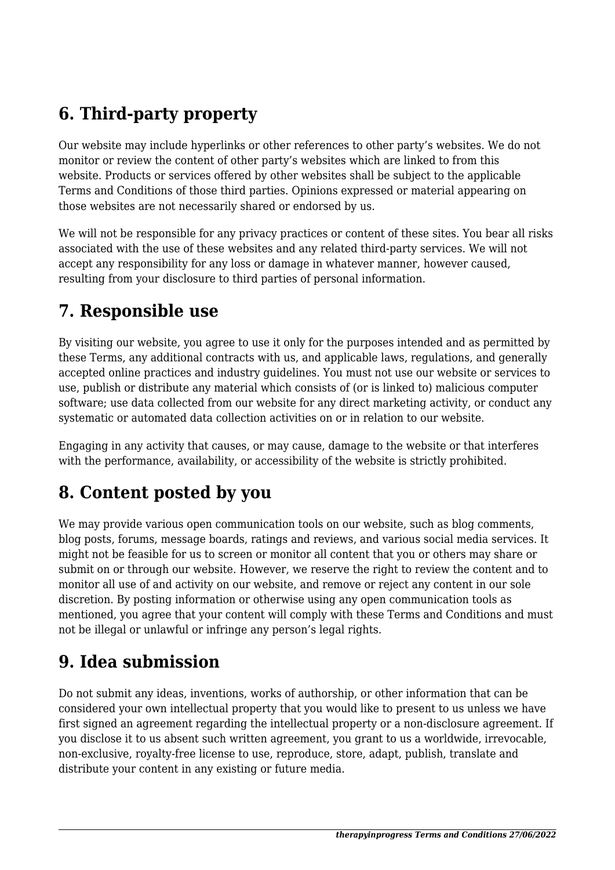## **6. Third-party property**

Our website may include hyperlinks or other references to other party's websites. We do not monitor or review the content of other party's websites which are linked to from this website. Products or services offered by other websites shall be subject to the applicable Terms and Conditions of those third parties. Opinions expressed or material appearing on those websites are not necessarily shared or endorsed by us.

We will not be responsible for any privacy practices or content of these sites. You bear all risks associated with the use of these websites and any related third-party services. We will not accept any responsibility for any loss or damage in whatever manner, however caused, resulting from your disclosure to third parties of personal information.

#### **7. Responsible use**

By visiting our website, you agree to use it only for the purposes intended and as permitted by these Terms, any additional contracts with us, and applicable laws, regulations, and generally accepted online practices and industry guidelines. You must not use our website or services to use, publish or distribute any material which consists of (or is linked to) malicious computer software; use data collected from our website for any direct marketing activity, or conduct any systematic or automated data collection activities on or in relation to our website.

Engaging in any activity that causes, or may cause, damage to the website or that interferes with the performance, availability, or accessibility of the website is strictly prohibited.

## **8. Content posted by you**

We may provide various open communication tools on our website, such as blog comments, blog posts, forums, message boards, ratings and reviews, and various social media services. It might not be feasible for us to screen or monitor all content that you or others may share or submit on or through our website. However, we reserve the right to review the content and to monitor all use of and activity on our website, and remove or reject any content in our sole discretion. By posting information or otherwise using any open communication tools as mentioned, you agree that your content will comply with these Terms and Conditions and must not be illegal or unlawful or infringe any person's legal rights.

#### **9. Idea submission**

Do not submit any ideas, inventions, works of authorship, or other information that can be considered your own intellectual property that you would like to present to us unless we have first signed an agreement regarding the intellectual property or a non-disclosure agreement. If you disclose it to us absent such written agreement, you grant to us a worldwide, irrevocable, non-exclusive, royalty-free license to use, reproduce, store, adapt, publish, translate and distribute your content in any existing or future media.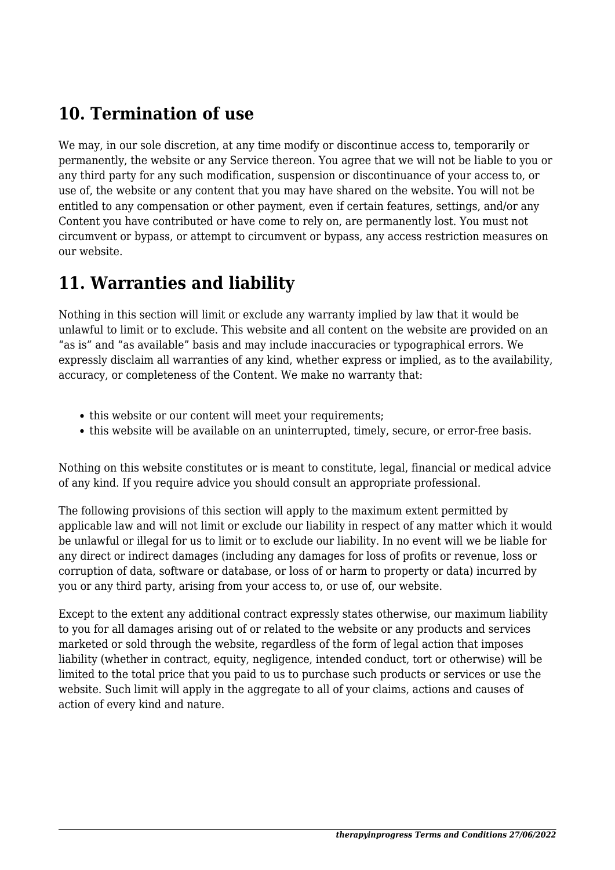#### **10. Termination of use**

We may, in our sole discretion, at any time modify or discontinue access to, temporarily or permanently, the website or any Service thereon. You agree that we will not be liable to you or any third party for any such modification, suspension or discontinuance of your access to, or use of, the website or any content that you may have shared on the website. You will not be entitled to any compensation or other payment, even if certain features, settings, and/or any Content you have contributed or have come to rely on, are permanently lost. You must not circumvent or bypass, or attempt to circumvent or bypass, any access restriction measures on our website.

#### **11. Warranties and liability**

Nothing in this section will limit or exclude any warranty implied by law that it would be unlawful to limit or to exclude. This website and all content on the website are provided on an "as is" and "as available" basis and may include inaccuracies or typographical errors. We expressly disclaim all warranties of any kind, whether express or implied, as to the availability, accuracy, or completeness of the Content. We make no warranty that:

- this website or our content will meet your requirements;
- this website will be available on an uninterrupted, timely, secure, or error-free basis.

Nothing on this website constitutes or is meant to constitute, legal, financial or medical advice of any kind. If you require advice you should consult an appropriate professional.

The following provisions of this section will apply to the maximum extent permitted by applicable law and will not limit or exclude our liability in respect of any matter which it would be unlawful or illegal for us to limit or to exclude our liability. In no event will we be liable for any direct or indirect damages (including any damages for loss of profits or revenue, loss or corruption of data, software or database, or loss of or harm to property or data) incurred by you or any third party, arising from your access to, or use of, our website.

Except to the extent any additional contract expressly states otherwise, our maximum liability to you for all damages arising out of or related to the website or any products and services marketed or sold through the website, regardless of the form of legal action that imposes liability (whether in contract, equity, negligence, intended conduct, tort or otherwise) will be limited to the total price that you paid to us to purchase such products or services or use the website. Such limit will apply in the aggregate to all of your claims, actions and causes of action of every kind and nature.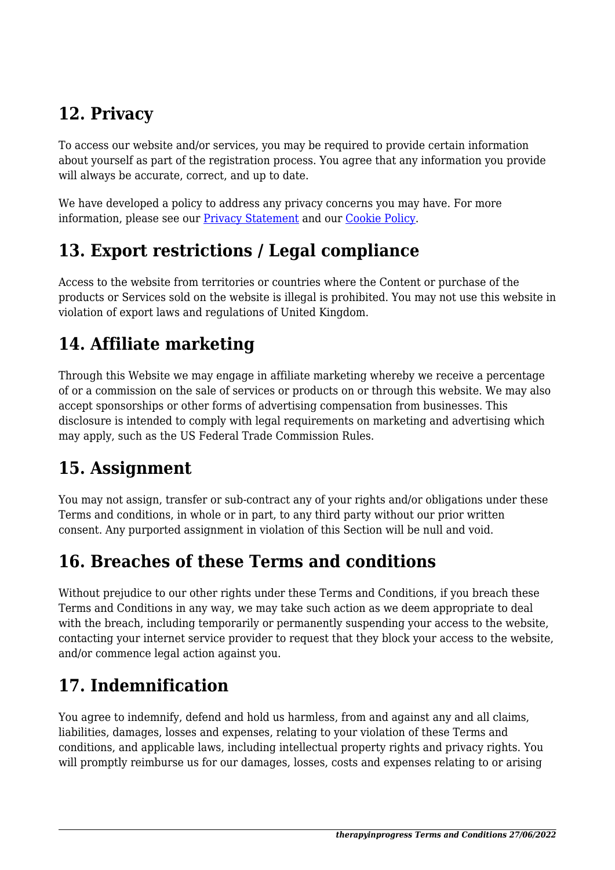## **12. Privacy**

To access our website and/or services, you may be required to provide certain information about yourself as part of the registration process. You agree that any information you provide will always be accurate, correct, and up to date.

We have developed a policy to address any privacy concerns you may have. For more information, please see our Privacy Statement and our Cookie Policy.

## **13. Export restrictions / Legal compliance**

Access to the website from territories or countries where the Content or purchase of the products or Services sold on the website is illegal is prohibited. You may not use this website in violation of export laws and regulations of United Kingdom.

## **14. Affiliate marketing**

Through this Website we may engage in affiliate marketing whereby we receive a percentage of or a commission on the sale of services or products on or through this website. We may also accept sponsorships or other forms of advertising compensation from businesses. This disclosure is intended to comply with legal requirements on marketing and advertising which may apply, such as the US Federal Trade Commission Rules.

## **15. Assignment**

You may not assign, transfer or sub-contract any of your rights and/or obligations under these Terms and conditions, in whole or in part, to any third party without our prior written consent. Any purported assignment in violation of this Section will be null and void.

## **16. Breaches of these Terms and conditions**

Without prejudice to our other rights under these Terms and Conditions, if you breach these Terms and Conditions in any way, we may take such action as we deem appropriate to deal with the breach, including temporarily or permanently suspending your access to the website, contacting your internet service provider to request that they block your access to the website, and/or commence legal action against you.

# **17. Indemnification**

You agree to indemnify, defend and hold us harmless, from and against any and all claims, liabilities, damages, losses and expenses, relating to your violation of these Terms and conditions, and applicable laws, including intellectual property rights and privacy rights. You will promptly reimburse us for our damages, losses, costs and expenses relating to or arising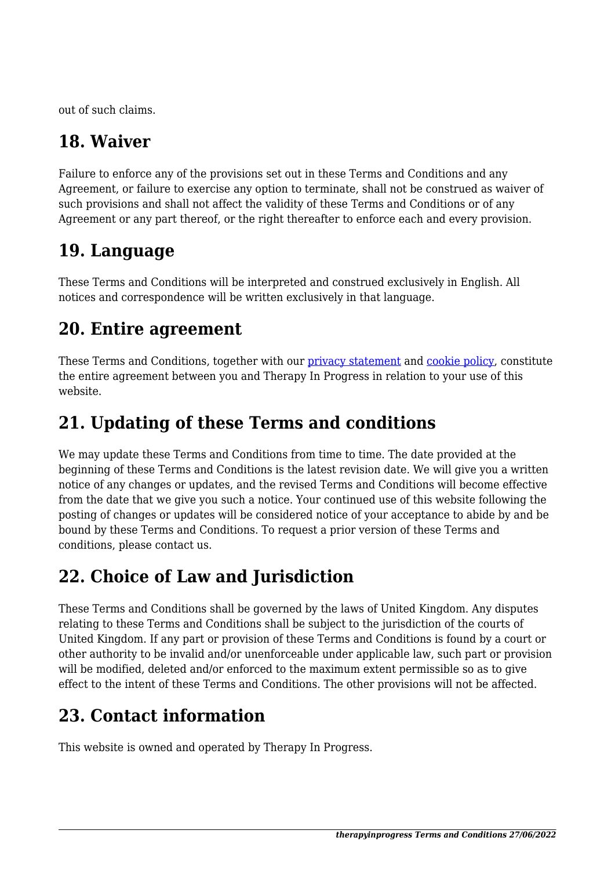out of such claims.

## **18. Waiver**

Failure to enforce any of the provisions set out in these Terms and Conditions and any Agreement, or failure to exercise any option to terminate, shall not be construed as waiver of such provisions and shall not affect the validity of these Terms and Conditions or of any Agreement or any part thereof, or the right thereafter to enforce each and every provision.

## **19. Language**

These Terms and Conditions will be interpreted and construed exclusively in English. All notices and correspondence will be written exclusively in that language.

#### **20. Entire agreement**

These Terms and Conditions, together with our privacy statement and cookie policy, constitute the entire agreement between you and Therapy In Progress in relation to your use of this website.

## **21. Updating of these Terms and conditions**

We may update these Terms and Conditions from time to time. The date provided at the beginning of these Terms and Conditions is the latest revision date. We will give you a written notice of any changes or updates, and the revised Terms and Conditions will become effective from the date that we give you such a notice. Your continued use of this website following the posting of changes or updates will be considered notice of your acceptance to abide by and be bound by these Terms and Conditions. To request a prior version of these Terms and conditions, please contact us.

## **22. Choice of Law and Jurisdiction**

These Terms and Conditions shall be governed by the laws of United Kingdom. Any disputes relating to these Terms and Conditions shall be subject to the jurisdiction of the courts of United Kingdom. If any part or provision of these Terms and Conditions is found by a court or other authority to be invalid and/or unenforceable under applicable law, such part or provision will be modified, deleted and/or enforced to the maximum extent permissible so as to give effect to the intent of these Terms and Conditions. The other provisions will not be affected.

#### **23. Contact information**

This website is owned and operated by Therapy In Progress.